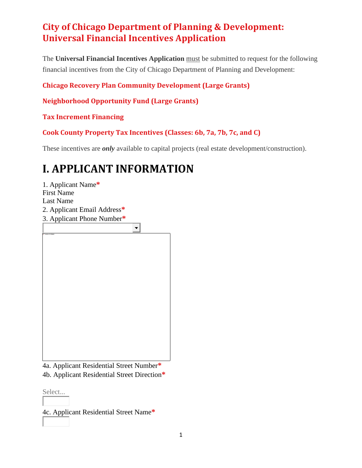The **Universal Financial Incentives Application** must be submitted to request for the following financial incentives from the City of Chicago Department of Planning and Development:

### **[Chicago Recovery Plan Community Development \(Large Grants\)](https://www.chicago.gov/city/en/depts/dcd/provdrs/ec_dev/svcs/chicago-recovery-grant-application.html)**

**[Neighborhood Opportunity Fund \(Large Grants\)](https://neighborhoodopportunityfund.com/about/)**

**[Tax Increment Financing](https://www.chicago.gov/city/en/depts/dcd/provdrs/tif.html)**

**[Cook County Property Tax Incentives \(Classes: 6b, 7a, 7b, 7c, and C\)](https://www.cookcountyassessor.com/incentives-special-properties)**

These incentives are *only* available to capital projects (real estate development/construction).

# **I. APPLICANT INFORMATION**

1. Applicant Name**\*** First Name Last Name 2. Applicant Email Address**\*** 3. Applicant Phone Number**\***  $\blacktriangledown$ 

4a. Applicant Residential Street Number**\*** 4b. Applicant Residential Street Direction**\***

Select...

4c. Applicant Residential Street Name**\***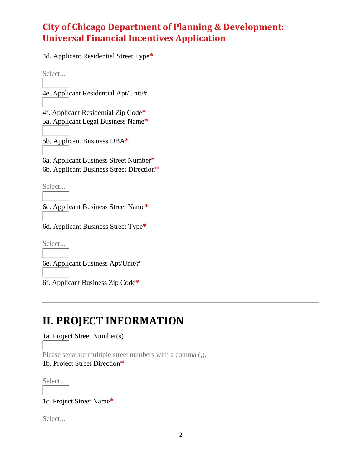4d. Applicant Residential Street Type**\***

Select...

4e. Applicant Residential Apt/Unit/#

4f. Applicant Residential Zip Code**\*** 5a. Applicant Legal Business Name**\***

5b. Applicant Business DBA**\***

6a. Applicant Business Street Number**\*** 6b. Applicant Business Street Direction**\***

Select...

6c. Applicant Business Street Name**\***

6d. Applicant Business Street Type**\***

Select...

6e. Applicant Business Apt/Unit/#

6f. Applicant Business Zip Code**\***

## **II. PROJECT INFORMATION**

1a. Project Street Number(s)

Please separate multiple street numbers with a comma (**,**). 1b. Project Street Direction**\***

Select...

1c. Project Street Name**\***

Select...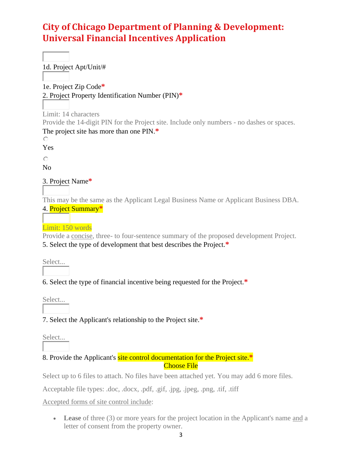1d. Project Apt/Unit/# 1e. Project Zip Code**\*** 2. Project Property Identification Number (PIN)**\*** Limit: 14 characters Provide the 14-digit PIN for the Project site. Include only numbers - no dashes or spaces. The project site has more than one PIN.**\***  $\circ$ Yes  $\circ$ No 3. Project Name**\*** This may be the same as the Applicant Legal Business Name or Applicant Business DBA. 4. Project Summary**\*** Limit: 150 words

Provide a concise, three- to four-sentence summary of the proposed development Project. 5. Select the type of development that best describes the Project.**\***

Select...

6. Select the type of financial incentive being requested for the Project.**\***

Select...

7. Select the Applicant's relationship to the Project site.**\***

Select...

8. Provide the Applicant's site control documentation for the Project site.**\*** Choose File

Select up to 6 files to attach. No files have been attached yet. You may add 6 more files.

Acceptable file types: .doc, .docx, .pdf, .gif, .jpg, .jpeg, .png, .tif, .tiff

Accepted forms of site control include:

• Lease of three (3) or more years for the project location in the Applicant's name and a letter of consent from the property owner.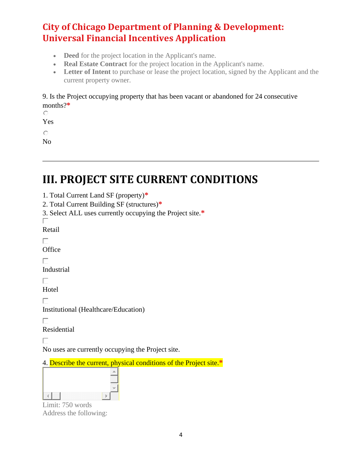- **Deed** for the project location in the Applicant's name.
- **Real Estate Contract** for the project location in the Applicant's name.
- **Letter of Intent** to purchase or lease the project location, signed by the Applicant and the current property owner.

### 9. Is the Project occupying property that has been vacant or abandoned for 24 consecutive months?**\***

 $\circ$ 

Yes

 $\circ$ 

No

## **III. PROJECT SITE CURRENT CONDITIONS**

- 1. Total Current Land SF (property)**\***
- 2. Total Current Building SF (structures)**\***
- 3. Select ALL uses currently occupying the Project site.**\*** П

Retail

 $\Box$ 

**Office** 

 $\Box$ 

Industrial

 $\Box$ 

Hotel

П

Institutional (Healthcare/Education)

 $\Box$ 

Residential

П

No uses are currently occupying the Project site.

4. Describe the current, physical conditions of the Project site.**\***

| . .<br>w |  |
|----------|--|

Limit: 750 words Address the following: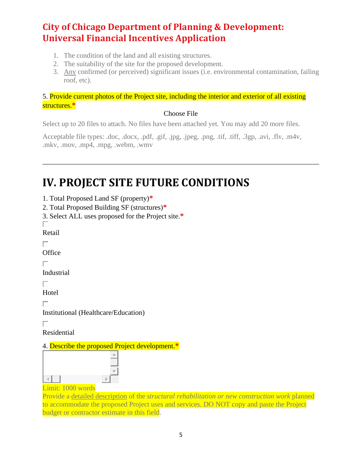- 1. The condition of the land and all existing structures.
- 2. The suitability of the site for the proposed development.
- 3. Any confirmed (or perceived) significant issues (i.e. environmental contamination, failing roof, etc).

### 5. Provide current photos of the Project site, including the interior and exterior of all existing structures.**\***

### Choose File

Select up to 20 files to attach. No files have been attached yet. You may add 20 more files.

Acceptable file types: .doc, .docx, .pdf, .gif, .jpg, .jpeg, .png, .tif, .tiff, .3gp, .avi, .flv, .m4v, .mkv, .mov, .mp4, .mpg, .webm, .wmv

# **IV. PROJECT SITE FUTURE CONDITIONS**

- 1. Total Proposed Land SF (property)**\***
- 2. Total Proposed Building SF (structures)**\***
- 3. Select ALL uses proposed for the Project site.**\***

П Retail

**Office** 

 $\Box$ 

Industrial

 $\Box$ 

Hotel

П.

Institutional (Healthcare/Education)

 $\Box$ 

Residential

### 4. Describe the proposed Project development.**\***



Limit: 1000 words

Provide a detailed description of the *structural rehabilitation or new construction work* planned to accommodate the proposed Project uses and services. DO NOT copy and paste the Project budget or contractor estimate in this field.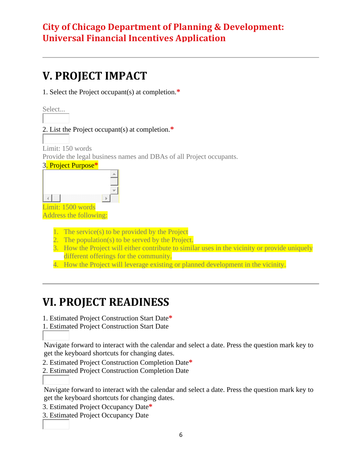## **V. PROJECT IMPACT**

1. Select the Project occupant(s) at completion.**\***

Select...

### 2. List the Project occupant(s) at completion.**\***

Limit: 150 words Provide the legal business names and DBAs of all Project occupants.



Address the following:

- 1. The service(s) to be provided by the Project
- 2. The population(s) to be served by the Project.
- 3. How the Project will either contribute to similar uses in the vicinity or provide uniquely different offerings for the community.
- 4. How the Project will leverage existing or planned development in the vicinity.

# **VI. PROJECT READINESS**

1. Estimated Project Construction Start Date**\***

1. Estimated Project Construction Start Date

Navigate forward to interact with the calendar and select a date. Press the question mark key to get the keyboard shortcuts for changing dates.

2. Estimated Project Construction Completion Date**\***

2. Estimated Project Construction Completion Date

Navigate forward to interact with the calendar and select a date. Press the question mark key to get the keyboard shortcuts for changing dates.

- 3. Estimated Project Occupancy Date**\***
- 3. Estimated Project Occupancy Date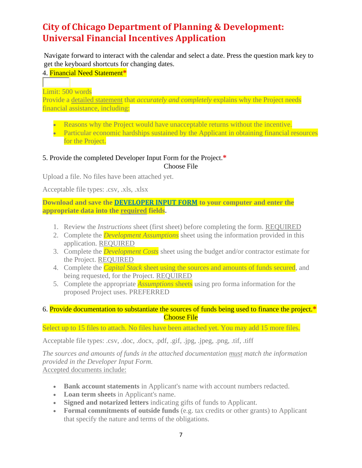Navigate forward to interact with the calendar and select a date. Press the question mark key to get the keyboard shortcuts for changing dates.

### 4. Financial Need Statement**\***

Limit: 500 words

Provide a detailed statement that *accurately and completely* explains why the Project needs financial assistance, including:

- Reasons why the Project would have unacceptable returns without the incentive.
- Particular economic hardships sustained by the Applicant in obtaining financial resources for the Project.

#### 5. Provide the completed Developer Input Form for the Project.**\*** Choose File

Upload a file. No files have been attached yet.

Acceptable file types: .csv, .xls, .xlsx

**Download and save the [DEVELOPER INPUT FORM](https://www.chicago.gov/content/dam/city/depts/dcd/Recovery/FID_Developer_Input_Form.xlsm) to your computer and enter the appropriate data into the required fields.** 

- 1. Review the *Instructions* sheet (first sheet) before completing the form. REQUIRED
- 2. Complete the *Development Assumptions* sheet using the information provided in this application. REQUIRED
- 3. Complete the *Development Costs* sheet using the budget and/or contractor estimate for the Project. REQUIRED
- 4. Complete the *Capital Stack* sheet using the sources and amounts of funds secured, and being requested, for the Project. REQUIRED
- 5. Complete the appropriate *Assumptions* sheets using pro forma information for the proposed Project uses. PREFERRED

### 6. Provide documentation to substantiate the sources of funds being used to finance the project.**\*** Choose File

### Select up to 15 files to attach. No files have been attached yet. You may add 15 more files.

Acceptable file types: .csv, .doc, .docx, .pdf, .gif, .jpg, .jpeg, .png, .tif, .tiff

*The sources and amounts of funds in the attached documentation must match the information provided in the Developer Input Form.* Accepted documents include:

- **Bank account statements** in Applicant's name with account numbers redacted.
- **Loan term sheets** in Applicant's name.
- **Signed and notarized letters** indicating gifts of funds to Applicant.
- **Formal commitments of outside funds** (e.g. tax credits or other grants) to Applicant that specify the nature and terms of the obligations.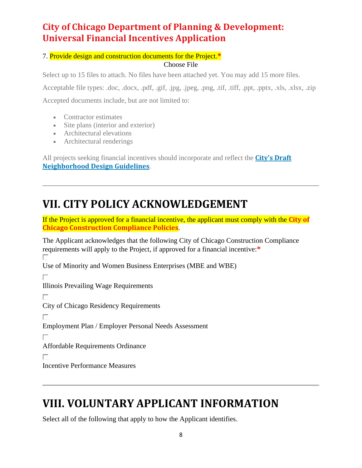7. Provide design and construction documents for the Project.**\***

#### Choose File

Select up to 15 files to attach. No files have been attached yet. You may add 15 more files.

Acceptable file types: .doc, .docx, .pdf, .gif, .jpg, .jpeg, .png, .tif, .tiff, .ppt, .pptx, .xls, .xlsx, .zip

Accepted documents include, but are not limited to:

- Contractor estimates
- Site plans (interior and exterior)
- Architectural elevations
- Architectural renderings

All projects seeking financial incentives should incorporate and reflect the **[City's Draft](http://chrome-extension/efaidnbmnnnibpcajpcglclefindmkaj/viewer.html?pdfurl=https%3A%2F%2Fwww.chicago.gov%2Fcontent%2Fdam%2Fcity%2Fdepts%2Fdcd%2Fdesign%2Fneighborhood_design_guidelines_draft.pdf&chunk=true)  [Neighborhood Design Guidelines](http://chrome-extension/efaidnbmnnnibpcajpcglclefindmkaj/viewer.html?pdfurl=https%3A%2F%2Fwww.chicago.gov%2Fcontent%2Fdam%2Fcity%2Fdepts%2Fdcd%2Fdesign%2Fneighborhood_design_guidelines_draft.pdf&chunk=true)**.

## **VII. CITY POLICY ACKNOWLEDGEMENT**

If the Project is approved for a financial incentive, the applicant must comply with the **[City of](http://chrome-extension/efaidnbmnnnibpcajpcglclefindmkaj/viewer.html?pdfurl=https%3A%2F%2Fwww.chicago.gov%2Fcontent%2Fdam%2Fcity%2Fdepts%2Fdcd%2FRecovery%2Fcity_policies.pdf&chunk=true)  [Chicago Construction Compliance Policies](http://chrome-extension/efaidnbmnnnibpcajpcglclefindmkaj/viewer.html?pdfurl=https%3A%2F%2Fwww.chicago.gov%2Fcontent%2Fdam%2Fcity%2Fdepts%2Fdcd%2FRecovery%2Fcity_policies.pdf&chunk=true)**.

The Applicant acknowledges that the following City of Chicago Construction Compliance requirements will apply to the Project, if approved for a financial incentive:**\*** Use of Minority and Women Business Enterprises (MBE and WBE) П Illinois Prevailing Wage Requirements City of Chicago Residency Requirements П. Employment Plan / Employer Personal Needs Assessment Affordable Requirements Ordinance Incentive Performance Measures

## **VIII. VOLUNTARY APPLICANT INFORMATION**

Select all of the following that apply to how the Applicant identifies.